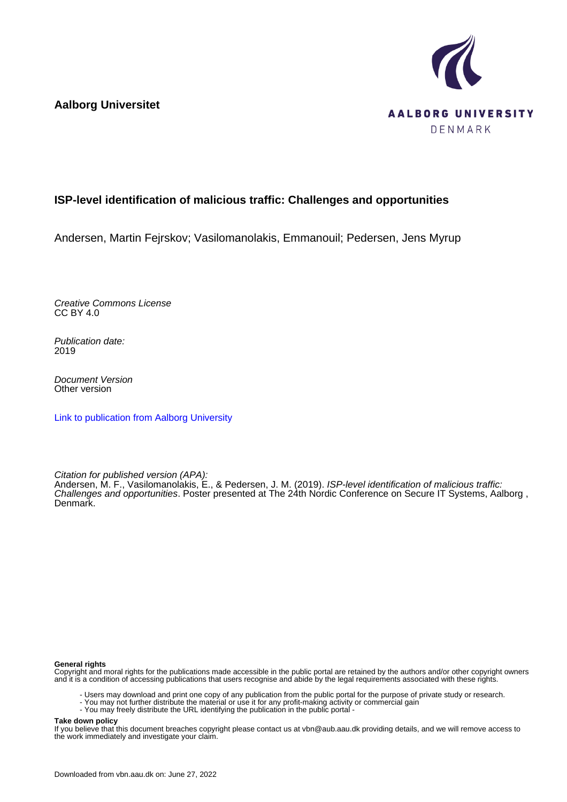**Aalborg Universitet**



#### **ISP-level identification of malicious traffic: Challenges and opportunities**

Andersen, Martin Fejrskov; Vasilomanolakis, Emmanouil; Pedersen, Jens Myrup

Creative Commons License CC BY 4.0

Publication date: 2019

Document Version Other version

[Link to publication from Aalborg University](https://vbn.aau.dk/en/publications/2d74e5cd-0552-4c88-920c-9c50832b8ae0)

Citation for published version (APA):

Andersen, M. F., Vasilomanolakis, E., & Pedersen, J. M. (2019). ISP-level identification of malicious traffic: Challenges and opportunities. Poster presented at The 24th Nordic Conference on Secure IT Systems, Aalborg , Denmark.

#### **General rights**

Copyright and moral rights for the publications made accessible in the public portal are retained by the authors and/or other copyright owners and it is a condition of accessing publications that users recognise and abide by the legal requirements associated with these rights.

- Users may download and print one copy of any publication from the public portal for the purpose of private study or research.
- You may not further distribute the material or use it for any profit-making activity or commercial gain
- You may freely distribute the URL identifying the publication in the public portal -

#### **Take down policy**

If you believe that this document breaches copyright please contact us at vbn@aub.aau.dk providing details, and we will remove access to the work immediately and investigate your claim.